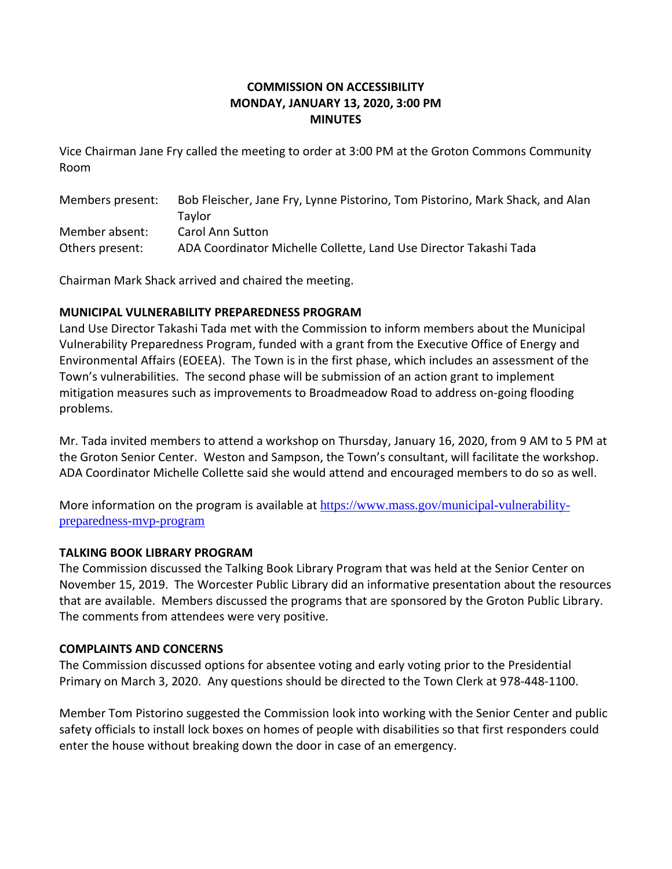# **COMMISSION ON ACCESSIBILITY MONDAY, JANUARY 13, 2020, 3:00 PM MINUTES**

Vice Chairman Jane Fry called the meeting to order at 3:00 PM at the Groton Commons Community Room

| Members present: | Bob Fleischer, Jane Fry, Lynne Pistorino, Tom Pistorino, Mark Shack, and Alan |
|------------------|-------------------------------------------------------------------------------|
|                  | Tavlor                                                                        |
| Member absent:   | <b>Carol Ann Sutton</b>                                                       |
| Others present:  | ADA Coordinator Michelle Collette, Land Use Director Takashi Tada             |

Chairman Mark Shack arrived and chaired the meeting.

## **MUNICIPAL VULNERABILITY PREPAREDNESS PROGRAM**

Land Use Director Takashi Tada met with the Commission to inform members about the Municipal Vulnerability Preparedness Program, funded with a grant from the Executive Office of Energy and Environmental Affairs (EOEEA). The Town is in the first phase, which includes an assessment of the Town's vulnerabilities. The second phase will be submission of an action grant to implement mitigation measures such as improvements to Broadmeadow Road to address on-going flooding problems.

Mr. Tada invited members to attend a workshop on Thursday, January 16, 2020, from 9 AM to 5 PM at the Groton Senior Center. Weston and Sampson, the Town's consultant, will facilitate the workshop. ADA Coordinator Michelle Collette said she would attend and encouraged members to do so as well.

More information on the program is available at [https://www.mass.gov/municipal-vulnerability](https://www.mass.gov/municipal-vulnerability-preparedness-mvp-program)[preparedness-mvp-program](https://www.mass.gov/municipal-vulnerability-preparedness-mvp-program)

### **TALKING BOOK LIBRARY PROGRAM**

The Commission discussed the Talking Book Library Program that was held at the Senior Center on November 15, 2019. The Worcester Public Library did an informative presentation about the resources that are available. Members discussed the programs that are sponsored by the Groton Public Library. The comments from attendees were very positive.

### **COMPLAINTS AND CONCERNS**

The Commission discussed options for absentee voting and early voting prior to the Presidential Primary on March 3, 2020. Any questions should be directed to the Town Clerk at 978-448-1100.

Member Tom Pistorino suggested the Commission look into working with the Senior Center and public safety officials to install lock boxes on homes of people with disabilities so that first responders could enter the house without breaking down the door in case of an emergency.